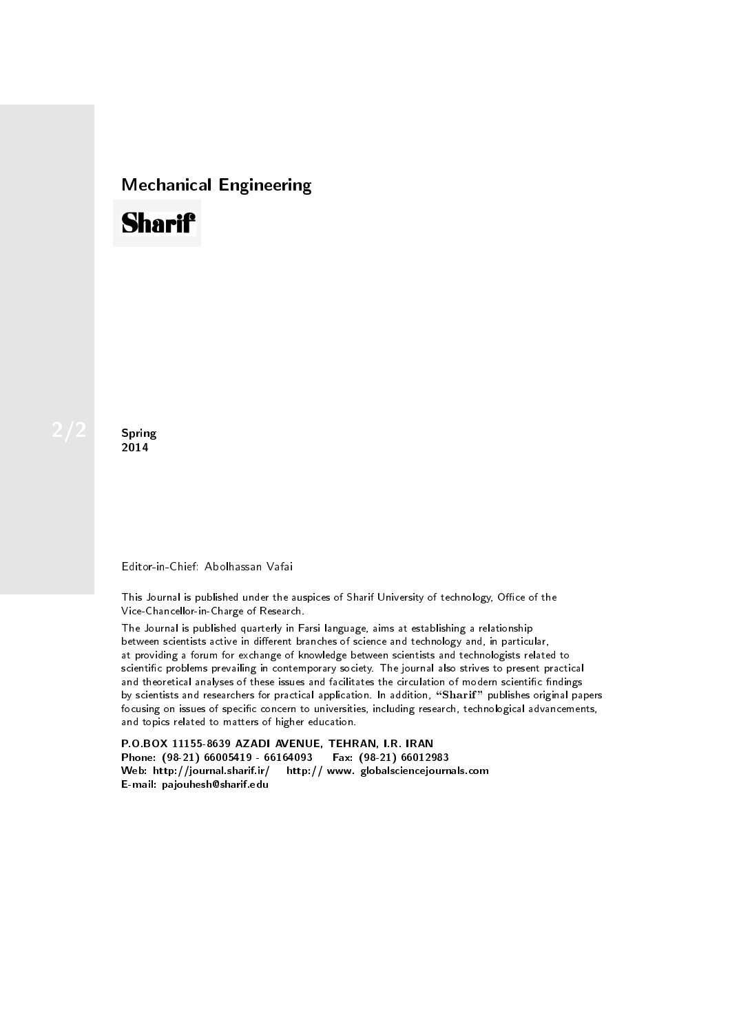## Mechanical Engineering

# **Sharif**

Spring 2014

### Editor-in-Chief: Abolhassan Vafai

This Journal is published under the auspices of Sharif University of technology, Office of the Vice-Chancellor-in-Charge of Research.

The Journal is published quarterly in Farsi language, aims at establishing a relationship between scientists active in different branches of science and technology and, in particular, at providing a forum for exchange of knowledge between scientists and technologists related to scientic problems prevailing in contemporary society. The journal also strives to present practical and theoretical analyses of these issues and facilitates the circulation of modern scientific findings by scientists and researchers for practical application. In addition, "Sharif" publishes original papers focusing on issues of specific concern to universities, including research, technological advancements, and topics related to matters of higher education.

P.O.BOX 11155-8639 AZADI AVENUE, TEHRAN, I.R. IRAN Phone: (98-21) 66005419 - 66164093 Fax: (98-21) 66012983 Web: http://journal.sharif.ir/ http:// www. globalsciencejournals.com E-mail: pajouhesh@sharif.edu